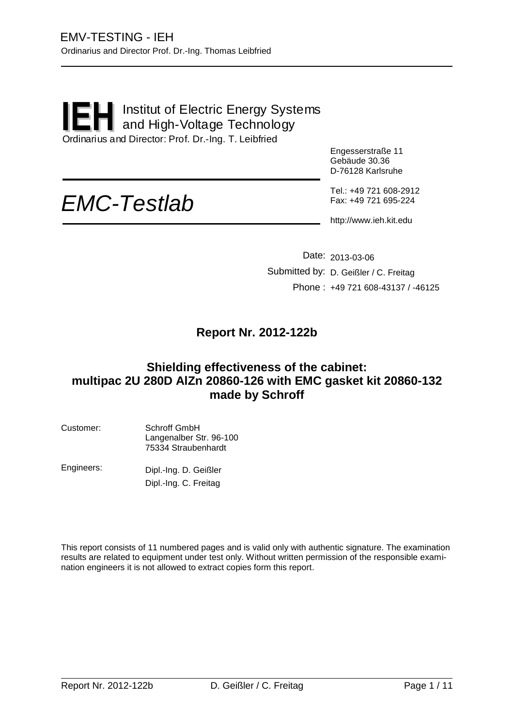#### Institut of Electric Energy Systems and High-Voltage Technology Ordinarius and Director: Prof. Dr.-Ing. T. Leibfried **IEH**

Engesserstraße 11 Gebäude 30.36 D-76128 Karlsruhe

# *EMC-Testlab*

Tel.: +49 721 608-2912 Fax: +49 721 695-224

http://www.ieh.kit.edu

Date: 2013-03-06 Submitted by: D. Geißler / C. Freitag Phone : +49 721 608-43137 / -46125

#### **Report Nr. 2012-122b**

#### **Shielding effectiveness of the cabinet: multipac 2U 280D AlZn 20860-126 with EMC gasket kit 20860-132 made by Schroff**

| Customer: | Schroff GmbH            |
|-----------|-------------------------|
|           | Langenalber Str. 96-100 |
|           | 75334 Straubenhardt     |

Engineers: Dipl.-Ing. D. Geißler Dipl.-Ing. C. Freitag

This report consists of 11 numbered pages and is valid only with authentic signature. The examination results are related to equipment under test only. Without written permission of the responsible examination engineers it is not allowed to extract copies form this report.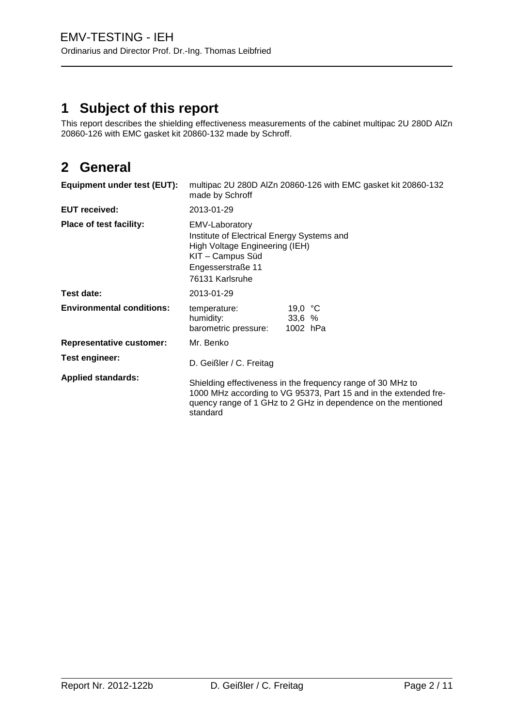# **1 Subject of this report**

This report describes the shielding effectiveness measurements of the cabinet multipac 2U 280D AlZn 20860-126 with EMC gasket kit 20860-132 made by Schroff.

# **2 General**

| Equipment under test (EUT):      | multipac 2U 280D AIZn 20860-126 with EMC gasket kit 20860-132<br>made by Schroff                                                                                                                             |  |  |
|----------------------------------|--------------------------------------------------------------------------------------------------------------------------------------------------------------------------------------------------------------|--|--|
| <b>EUT received:</b>             | 2013-01-29                                                                                                                                                                                                   |  |  |
| Place of test facility:          | EMV-Laboratory<br>Institute of Electrical Energy Systems and<br>High Voltage Engineering (IEH)<br>KIT - Campus Süd<br>Engesserstraße 11<br>76131 Karlsruhe                                                   |  |  |
| Test date:                       | 2013-01-29                                                                                                                                                                                                   |  |  |
| <b>Environmental conditions:</b> | 19,0 $\degree$ C<br>temperature:<br>33,6%<br>humidity:<br>barometric pressure:<br>1002 hPa                                                                                                                   |  |  |
| <b>Representative customer:</b>  | Mr. Benko                                                                                                                                                                                                    |  |  |
| Test engineer:                   | D. Geißler / C. Freitag                                                                                                                                                                                      |  |  |
| <b>Applied standards:</b>        | Shielding effectiveness in the frequency range of 30 MHz to<br>1000 MHz according to VG 95373, Part 15 and in the extended fre-<br>quency range of 1 GHz to 2 GHz in dependence on the mentioned<br>standard |  |  |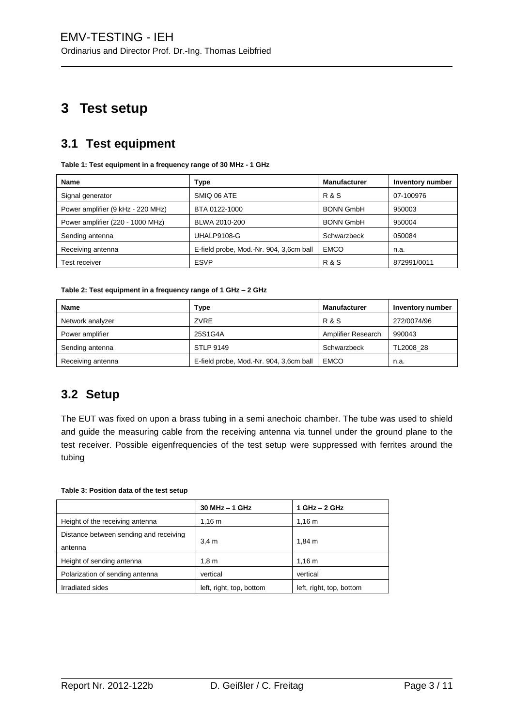# **3 Test setup**

## **3.1 Test equipment**

| Name                              | Type                                    | <b>Manufacturer</b> | Inventory number |  |
|-----------------------------------|-----------------------------------------|---------------------|------------------|--|
| Signal generator                  | SMIQ 06 ATE                             | <b>R&amp;S</b>      | 07-100976        |  |
| Power amplifier (9 kHz - 220 MHz) | BTA 0122-1000                           | <b>BONN GmbH</b>    | 950003           |  |
| Power amplifier (220 - 1000 MHz)  | BLWA 2010-200                           | <b>BONN GmbH</b>    | 950004           |  |
| Sending antenna                   | UHALP9108-G                             | Schwarzbeck         | 050084           |  |
| Receiving antenna                 | E-field probe, Mod.-Nr. 904, 3,6cm ball | <b>EMCO</b>         | n.a.             |  |
| Test receiver                     | <b>ESVP</b>                             | <b>R&amp;S</b>      | 872991/0011      |  |

**Table 1: Test equipment in a frequency range of 30 MHz - 1 GHz**

| <b>Name</b>       | <b>Type</b>                             | <b>Manufacturer</b> | Inventory number |
|-------------------|-----------------------------------------|---------------------|------------------|
| Network analyzer  | ZVRE                                    | R & S               | 272/0074/96      |
| Power amplifier   | 25S1G4A                                 | Amplifier Research  | 990043           |
| Sending antenna   | <b>STLP 9149</b>                        | Schwarzbeck         | TL2008 28        |
| Receiving antenna | E-field probe, Mod.-Nr. 904, 3,6cm ball | <b>EMCO</b>         | n.a.             |

#### **3.2 Setup**

The EUT was fixed on upon a brass tubing in a semi anechoic chamber. The tube was used to shield and guide the measuring cable from the receiving antenna via tunnel under the ground plane to the test receiver. Possible eigenfrequencies of the test setup were suppressed with ferrites around the tubing

#### **Table 3: Position data of the test setup**

|                                        | $30$ MHz $-$ 1 GHz       | $1$ GHz $-$ 2 GHz        |  |
|----------------------------------------|--------------------------|--------------------------|--|
| Height of the receiving antenna        | 1.16 m                   | 1.16 m                   |  |
| Distance between sending and receiving |                          | $1.84 \text{ m}$         |  |
| antenna                                | 3.4 <sub>m</sub>         |                          |  |
| Height of sending antenna              | 1.8 <sub>m</sub>         | $1,16 \; \text{m}$       |  |
| Polarization of sending antenna        | vertical                 | vertical                 |  |
| Irradiated sides                       | left, right, top, bottom | left, right, top, bottom |  |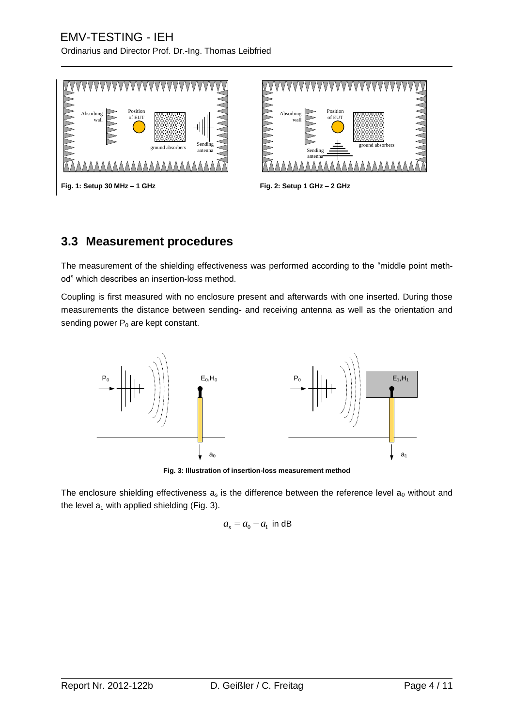Ordinarius and Director Prof. Dr.-Ing. Thomas Leibfried



**Fig. 1: Setup 30 MHz – 1 GHz Fig. 2: Setup 1 GHz – 2 GHz**



#### **3.3 Measurement procedures**

The measurement of the shielding effectiveness was performed according to the "middle point method" which describes an insertion-loss method.

Coupling is first measured with no enclosure present and afterwards with one inserted. During those measurements the distance between sending- and receiving antenna as well as the orientation and sending power  $P_0$  are kept constant.



**Fig. 3: Illustration of insertion-loss measurement method**

The enclosure shielding effectiveness  $a_s$  is the difference between the reference level  $a_0$  without and the level  $a_1$  with applied shielding (Fig. 3).

$$
a_s = a_0 - a_1
$$
 in dB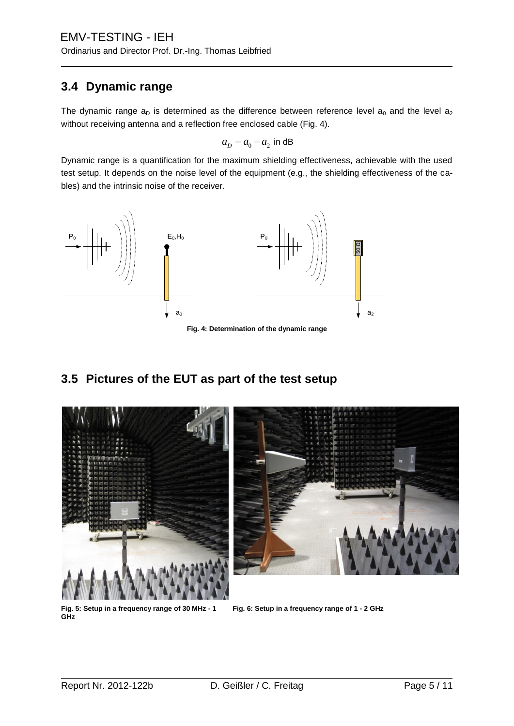#### **3.4 Dynamic range**

The dynamic range  $a_D$  is determined as the difference between reference level  $a_0$  and the level  $a_2$ without receiving antenna and a reflection free enclosed cable (Fig. 4).

$$
a_D = a_0 - a_2
$$
 in dB

Dynamic range is a quantification for the maximum shielding effectiveness, achievable with the used test setup. It depends on the noise level of the equipment (e.g., the shielding effectiveness of the cables) and the intrinsic noise of the receiver.



**Fig. 4: Determination of the dynamic range**

## **3.5 Pictures of the EUT as part of the test setup**



**Fig. 5: Setup in a frequency range of 30 MHz - 1 GHz**

**Fig. 6: Setup in a frequency range of 1 - 2 GHz**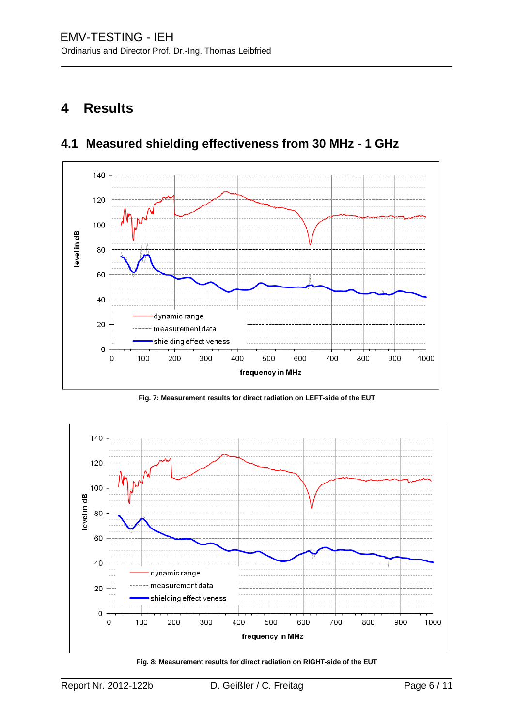# **4 Results**



# **4.1 Measured shielding effectiveness from 30 MHz - 1 GHz**

**Fig. 7: Measurement results for direct radiation on LEFT-side of the EUT**



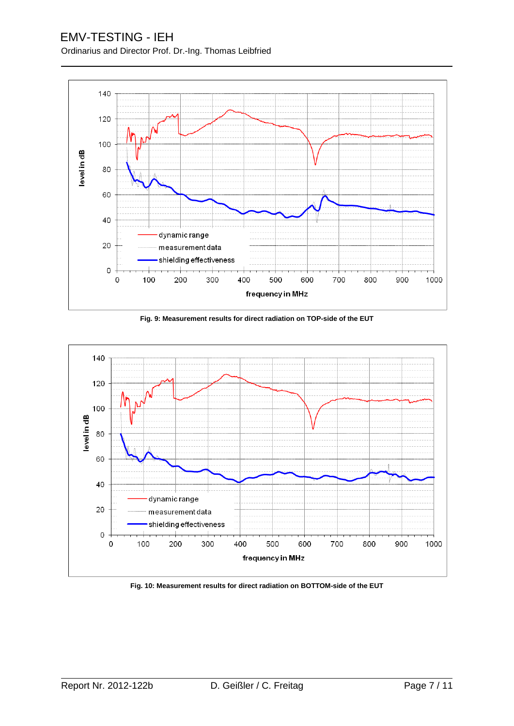#### EMV-TESTING - IEH Ordinarius and Director Prof. Dr.-Ing. Thomas Leibfried



**Fig. 9: Measurement results for direct radiation on TOP-side of the EUT**



**Fig. 10: Measurement results for direct radiation on BOTTOM-side of the EUT**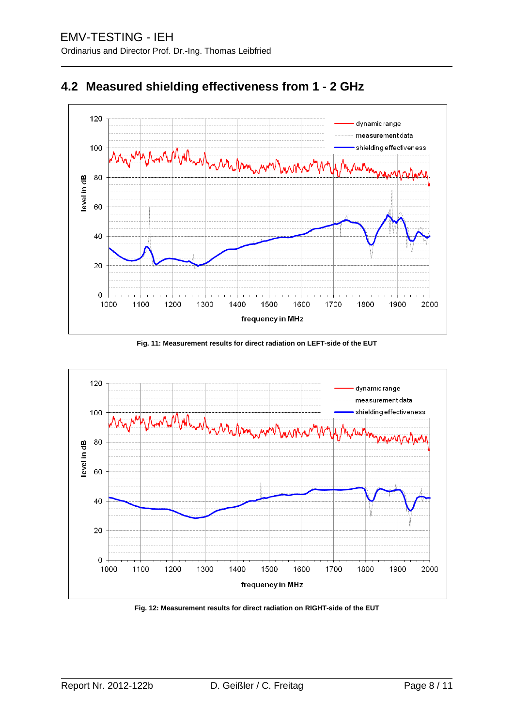



**Fig. 11: Measurement results for direct radiation on LEFT-side of the EUT**

![](_page_7_Figure_4.jpeg)

**Fig. 12: Measurement results for direct radiation on RIGHT-side of the EUT**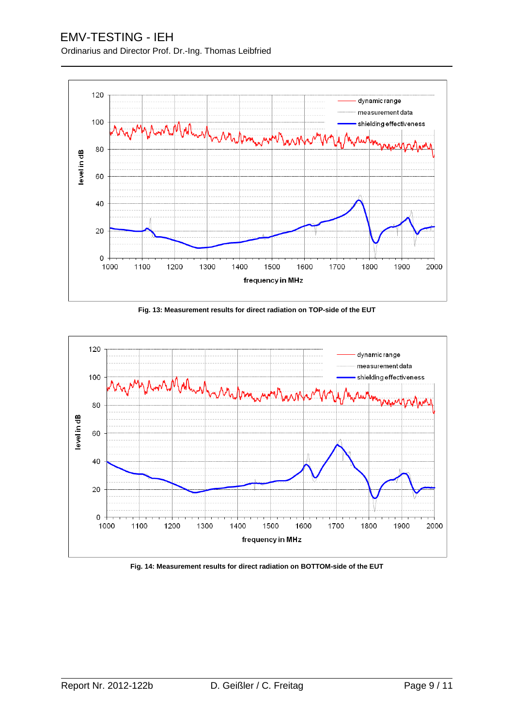#### EMV-TESTING - IEH Ordinarius and Director Prof. Dr.-Ing. Thomas Leibfried

![](_page_8_Figure_1.jpeg)

**Fig. 13: Measurement results for direct radiation on TOP-side of the EUT**

![](_page_8_Figure_3.jpeg)

**Fig. 14: Measurement results for direct radiation on BOTTOM-side of the EUT**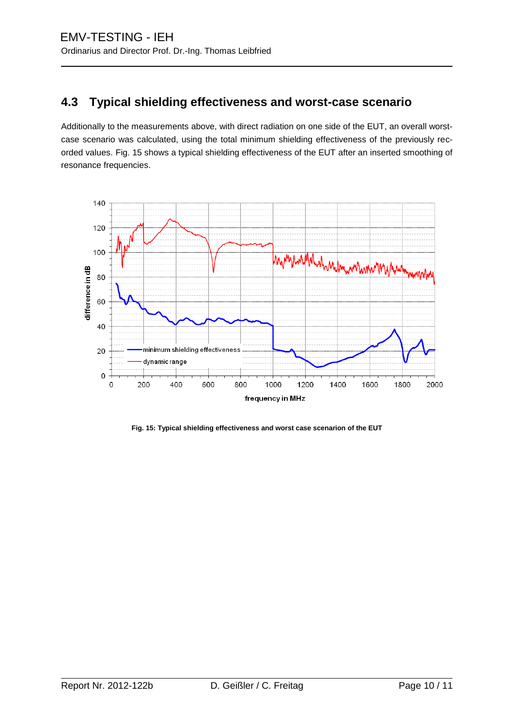## **4.3 Typical shielding effectiveness and worst-case scenario**

Additionally to the measurements above, with direct radiation on one side of the EUT, an overall worstcase scenario was calculated, using the total minimum shielding effectiveness of the previously recorded values. Fig. 15 shows a typical shielding effectiveness of the EUT after an inserted smoothing of resonance frequencies.

![](_page_9_Figure_3.jpeg)

**Fig. 15: Typical shielding effectiveness and worst case scenarion of the EUT**